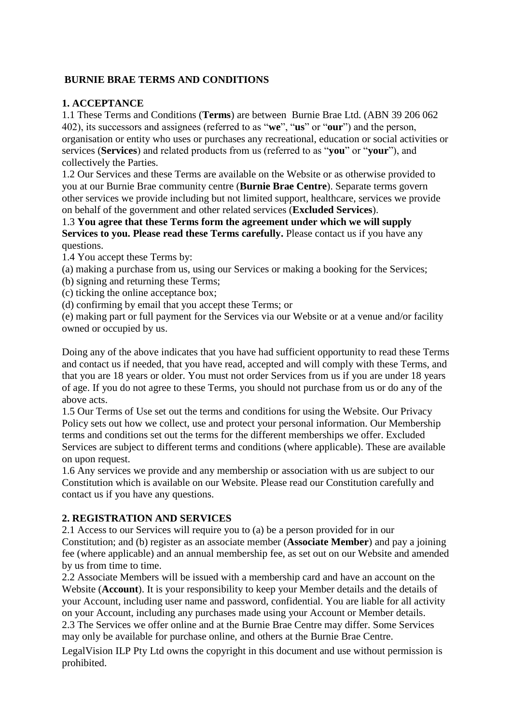### **BURNIE BRAE TERMS AND CONDITIONS**

## **1. ACCEPTANCE**

1.1 These Terms and Conditions (**Terms**) are between Burnie Brae Ltd. (ABN 39 206 062 402), its successors and assignees (referred to as "**we**", "**us**" or "**our**") and the person, organisation or entity who uses or purchases any recreational, education or social activities or services (**Services**) and related products from us (referred to as "**you**" or "**your**"), and collectively the Parties.

1.2 Our Services and these Terms are available on the Website or as otherwise provided to you at our Burnie Brae community centre (**Burnie Brae Centre**). Separate terms govern other services we provide including but not limited support, healthcare, services we provide on behalf of the government and other related services (**Excluded Services**).

1.3 **You agree that these Terms form the agreement under which we will supply Services to you. Please read these Terms carefully.** Please contact us if you have any questions.

1.4 You accept these Terms by:

(a) making a purchase from us, using our Services or making a booking for the Services;

(b) signing and returning these Terms;

(c) ticking the online acceptance box;

(d) confirming by email that you accept these Terms; or

(e) making part or full payment for the Services via our Website or at a venue and/or facility owned or occupied by us.

Doing any of the above indicates that you have had sufficient opportunity to read these Terms and contact us if needed, that you have read, accepted and will comply with these Terms, and that you are 18 years or older. You must not order Services from us if you are under 18 years of age. If you do not agree to these Terms, you should not purchase from us or do any of the above acts.

1.5 Our Terms of Use set out the terms and conditions for using the Website. Our Privacy Policy sets out how we collect, use and protect your personal information. Our Membership terms and conditions set out the terms for the different memberships we offer. Excluded Services are subject to different terms and conditions (where applicable). These are available on upon request.

1.6 Any services we provide and any membership or association with us are subject to our Constitution which is available on our Website. Please read our Constitution carefully and contact us if you have any questions.

## **2. REGISTRATION AND SERVICES**

2.1 Access to our Services will require you to (a) be a person provided for in our Constitution; and (b) register as an associate member (**Associate Member**) and pay a joining fee (where applicable) and an annual membership fee, as set out on our Website and amended by us from time to time.

2.2 Associate Members will be issued with a membership card and have an account on the Website (**Account**). It is your responsibility to keep your Member details and the details of your Account, including user name and password, confidential. You are liable for all activity on your Account, including any purchases made using your Account or Member details. 2.3 The Services we offer online and at the Burnie Brae Centre may differ. Some Services may only be available for purchase online, and others at the Burnie Brae Centre.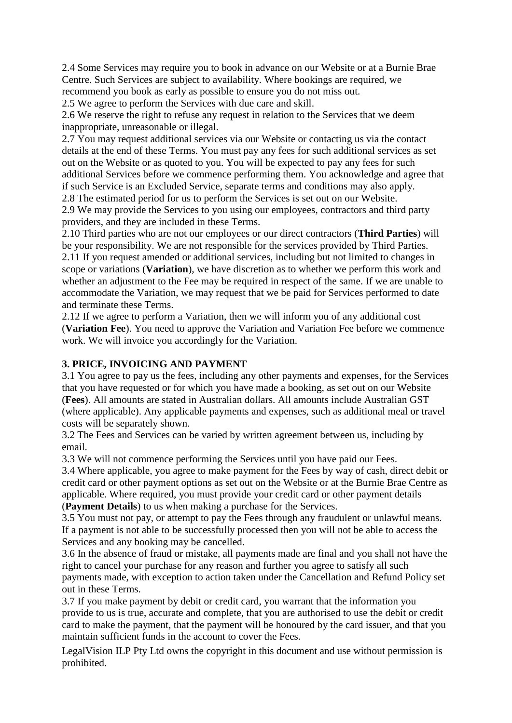2.4 Some Services may require you to book in advance on our Website or at a Burnie Brae Centre. Such Services are subject to availability. Where bookings are required, we recommend you book as early as possible to ensure you do not miss out.

2.5 We agree to perform the Services with due care and skill.

2.6 We reserve the right to refuse any request in relation to the Services that we deem inappropriate, unreasonable or illegal.

2.7 You may request additional services via our Website or contacting us via the contact details at the end of these Terms. You must pay any fees for such additional services as set out on the Website or as quoted to you. You will be expected to pay any fees for such additional Services before we commence performing them. You acknowledge and agree that if such Service is an Excluded Service, separate terms and conditions may also apply.

2.8 The estimated period for us to perform the Services is set out on our Website.

2.9 We may provide the Services to you using our employees, contractors and third party providers, and they are included in these Terms.

2.10 Third parties who are not our employees or our direct contractors (**Third Parties**) will be your responsibility. We are not responsible for the services provided by Third Parties. 2.11 If you request amended or additional services, including but not limited to changes in scope or variations (**Variation**), we have discretion as to whether we perform this work and whether an adjustment to the Fee may be required in respect of the same. If we are unable to accommodate the Variation, we may request that we be paid for Services performed to date and terminate these Terms.

2.12 If we agree to perform a Variation, then we will inform you of any additional cost (**Variation Fee**). You need to approve the Variation and Variation Fee before we commence work. We will invoice you accordingly for the Variation.

### **3. PRICE, INVOICING AND PAYMENT**

3.1 You agree to pay us the fees, including any other payments and expenses, for the Services that you have requested or for which you have made a booking, as set out on our Website (**Fees**). All amounts are stated in Australian dollars. All amounts include Australian GST (where applicable). Any applicable payments and expenses, such as additional meal or travel costs will be separately shown.

3.2 The Fees and Services can be varied by written agreement between us, including by email.

3.3 We will not commence performing the Services until you have paid our Fees.

3.4 Where applicable, you agree to make payment for the Fees by way of cash, direct debit or credit card or other payment options as set out on the Website or at the Burnie Brae Centre as applicable. Where required, you must provide your credit card or other payment details

(**Payment Details**) to us when making a purchase for the Services.

3.5 You must not pay, or attempt to pay the Fees through any fraudulent or unlawful means. If a payment is not able to be successfully processed then you will not be able to access the Services and any booking may be cancelled.

3.6 In the absence of fraud or mistake, all payments made are final and you shall not have the right to cancel your purchase for any reason and further you agree to satisfy all such payments made, with exception to action taken under the Cancellation and Refund Policy set out in these Terms.

3.7 If you make payment by debit or credit card, you warrant that the information you provide to us is true, accurate and complete, that you are authorised to use the debit or credit card to make the payment, that the payment will be honoured by the card issuer, and that you maintain sufficient funds in the account to cover the Fees.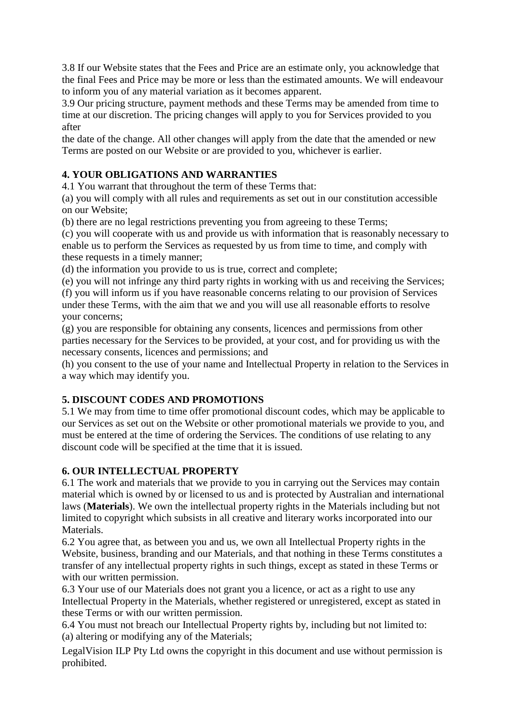3.8 If our Website states that the Fees and Price are an estimate only, you acknowledge that the final Fees and Price may be more or less than the estimated amounts. We will endeavour to inform you of any material variation as it becomes apparent.

3.9 Our pricing structure, payment methods and these Terms may be amended from time to time at our discretion. The pricing changes will apply to you for Services provided to you after

the date of the change. All other changes will apply from the date that the amended or new Terms are posted on our Website or are provided to you, whichever is earlier.

# **4. YOUR OBLIGATIONS AND WARRANTIES**

4.1 You warrant that throughout the term of these Terms that:

(a) you will comply with all rules and requirements as set out in our constitution accessible on our Website;

(b) there are no legal restrictions preventing you from agreeing to these Terms;

(c) you will cooperate with us and provide us with information that is reasonably necessary to enable us to perform the Services as requested by us from time to time, and comply with these requests in a timely manner;

(d) the information you provide to us is true, correct and complete;

(e) you will not infringe any third party rights in working with us and receiving the Services;

(f) you will inform us if you have reasonable concerns relating to our provision of Services under these Terms, with the aim that we and you will use all reasonable efforts to resolve your concerns;

(g) you are responsible for obtaining any consents, licences and permissions from other parties necessary for the Services to be provided, at your cost, and for providing us with the necessary consents, licences and permissions; and

(h) you consent to the use of your name and Intellectual Property in relation to the Services in a way which may identify you.

## **5. DISCOUNT CODES AND PROMOTIONS**

5.1 We may from time to time offer promotional discount codes, which may be applicable to our Services as set out on the Website or other promotional materials we provide to you, and must be entered at the time of ordering the Services. The conditions of use relating to any discount code will be specified at the time that it is issued.

## **6. OUR INTELLECTUAL PROPERTY**

6.1 The work and materials that we provide to you in carrying out the Services may contain material which is owned by or licensed to us and is protected by Australian and international laws (**Materials**). We own the intellectual property rights in the Materials including but not limited to copyright which subsists in all creative and literary works incorporated into our Materials.

6.2 You agree that, as between you and us, we own all Intellectual Property rights in the Website, business, branding and our Materials, and that nothing in these Terms constitutes a transfer of any intellectual property rights in such things, except as stated in these Terms or with our written permission.

6.3 Your use of our Materials does not grant you a licence, or act as a right to use any Intellectual Property in the Materials, whether registered or unregistered, except as stated in these Terms or with our written permission.

6.4 You must not breach our Intellectual Property rights by, including but not limited to: (a) altering or modifying any of the Materials;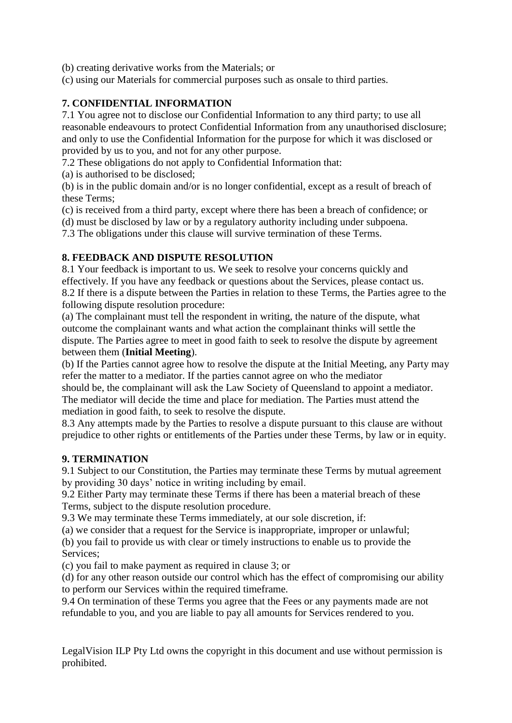(b) creating derivative works from the Materials; or

(c) using our Materials for commercial purposes such as onsale to third parties.

### **7. CONFIDENTIAL INFORMATION**

7.1 You agree not to disclose our Confidential Information to any third party; to use all reasonable endeavours to protect Confidential Information from any unauthorised disclosure; and only to use the Confidential Information for the purpose for which it was disclosed or provided by us to you, and not for any other purpose.

7.2 These obligations do not apply to Confidential Information that:

(a) is authorised to be disclosed;

(b) is in the public domain and/or is no longer confidential, except as a result of breach of these Terms;

(c) is received from a third party, except where there has been a breach of confidence; or

(d) must be disclosed by law or by a regulatory authority including under subpoena.

7.3 The obligations under this clause will survive termination of these Terms.

### **8. FEEDBACK AND DISPUTE RESOLUTION**

8.1 Your feedback is important to us. We seek to resolve your concerns quickly and effectively. If you have any feedback or questions about the Services, please contact us. 8.2 If there is a dispute between the Parties in relation to these Terms, the Parties agree to the following dispute resolution procedure:

(a) The complainant must tell the respondent in writing, the nature of the dispute, what outcome the complainant wants and what action the complainant thinks will settle the dispute. The Parties agree to meet in good faith to seek to resolve the dispute by agreement between them (**Initial Meeting**).

(b) If the Parties cannot agree how to resolve the dispute at the Initial Meeting, any Party may refer the matter to a mediator. If the parties cannot agree on who the mediator

should be, the complainant will ask the Law Society of Queensland to appoint a mediator. The mediator will decide the time and place for mediation. The Parties must attend the mediation in good faith, to seek to resolve the dispute.

8.3 Any attempts made by the Parties to resolve a dispute pursuant to this clause are without prejudice to other rights or entitlements of the Parties under these Terms, by law or in equity.

### **9. TERMINATION**

9.1 Subject to our Constitution, the Parties may terminate these Terms by mutual agreement by providing 30 days' notice in writing including by email.

9.2 Either Party may terminate these Terms if there has been a material breach of these Terms, subject to the dispute resolution procedure.

9.3 We may terminate these Terms immediately, at our sole discretion, if:

(a) we consider that a request for the Service is inappropriate, improper or unlawful;

(b) you fail to provide us with clear or timely instructions to enable us to provide the Services;

(c) you fail to make payment as required in clause 3; or

(d) for any other reason outside our control which has the effect of compromising our ability to perform our Services within the required timeframe.

9.4 On termination of these Terms you agree that the Fees or any payments made are not refundable to you, and you are liable to pay all amounts for Services rendered to you.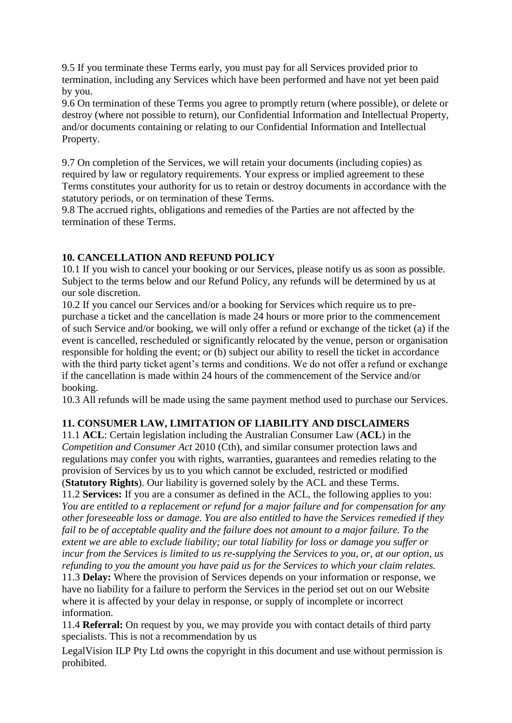9.5 If you terminate these Terms early, you must pay for all Services provided prior to termination, including any Services which have been performed and have not yet been paid by you.

9.6 On termination of these Terms you agree to promptly return (where possible), or delete or destroy (where not possible to return), our Confidential Information and Intellectual Property, and/or documents containing or relating to our Confidential Information and Intellectual Property.

9.7 On completion of the Services, we will retain your documents (including copies) as required by law or regulatory requirements. Your express or implied agreement to these Terms constitutes your authority for us to retain or destroy documents in accordance with the statutory periods, or on termination of these Terms.

9.8 The accrued rights, obligations and remedies of the Parties are not affected by the termination of these Terms.

## **10. CANCELLATION AND REFUND POLICY**

10.1 If you wish to cancel your booking or our Services, please notify us as soon as possible. Subject to the terms below and our Refund Policy, any refunds will be determined by us at our sole discretion.

10.2 If you cancel our Services and/or a booking for Services which require us to prepurchase a ticket and the cancellation is made 24 hours or more prior to the commencement of such Service and/or booking, we will only offer a refund or exchange of the ticket (a) if the event is cancelled, rescheduled or significantly relocated by the venue, person or organisation responsible for holding the event; or (b) subject our ability to resell the ticket in accordance with the third party ticket agent's terms and conditions. We do not offer a refund or exchange if the cancellation is made within 24 hours of the commencement of the Service and/or booking.

10.3 All refunds will be made using the same payment method used to purchase our Services.

## **11. CONSUMER LAW, LIMITATION OF LIABILITY AND DISCLAIMERS**

11.1 **ACL**: Certain legislation including the Australian Consumer Law (**ACL**) in the *Competition and Consumer Act* 2010 (Cth), and similar consumer protection laws and regulations may confer you with rights, warranties, guarantees and remedies relating to the provision of Services by us to you which cannot be excluded, restricted or modified (**Statutory Rights**). Our liability is governed solely by the ACL and these Terms.

11.2 **Services:** If you are a consumer as defined in the ACL, the following applies to you: *You are entitled to a replacement or refund for a major failure and for compensation for any other foreseeable loss or damage. You are also entitled to have the Services remedied if they*  fail to be of acceptable quality and the failure does not amount to a major failure. To the *extent we are able to exclude liability; our total liability for loss or damage you suffer or incur from the Services is limited to us re-supplying the Services to you, or, at our option, us refunding to you the amount you have paid us for the Services to which your claim relates.*  11.3 **Delay:** Where the provision of Services depends on your information or response, we have no liability for a failure to perform the Services in the period set out on our Website where it is affected by your delay in response, or supply of incomplete or incorrect information.

11.4 **Referral:** On request by you, we may provide you with contact details of third party specialists. This is not a recommendation by us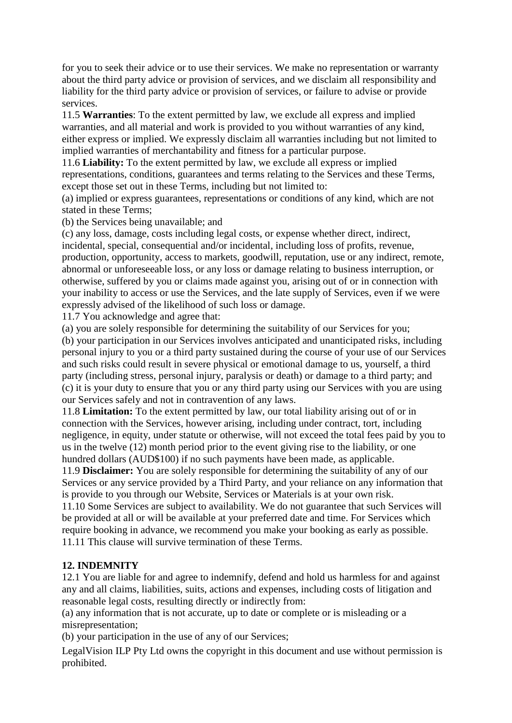for you to seek their advice or to use their services. We make no representation or warranty about the third party advice or provision of services, and we disclaim all responsibility and liability for the third party advice or provision of services, or failure to advise or provide services.

11.5 **Warranties**: To the extent permitted by law, we exclude all express and implied warranties, and all material and work is provided to you without warranties of any kind, either express or implied. We expressly disclaim all warranties including but not limited to implied warranties of merchantability and fitness for a particular purpose.

11.6 **Liability:** To the extent permitted by law, we exclude all express or implied representations, conditions, guarantees and terms relating to the Services and these Terms, except those set out in these Terms, including but not limited to:

(a) implied or express guarantees, representations or conditions of any kind, which are not stated in these Terms;

(b) the Services being unavailable; and

(c) any loss, damage, costs including legal costs, or expense whether direct, indirect, incidental, special, consequential and/or incidental, including loss of profits, revenue, production, opportunity, access to markets, goodwill, reputation, use or any indirect, remote, abnormal or unforeseeable loss, or any loss or damage relating to business interruption, or otherwise, suffered by you or claims made against you, arising out of or in connection with your inability to access or use the Services, and the late supply of Services, even if we were expressly advised of the likelihood of such loss or damage.

11.7 You acknowledge and agree that:

(a) you are solely responsible for determining the suitability of our Services for you;

(b) your participation in our Services involves anticipated and unanticipated risks, including personal injury to you or a third party sustained during the course of your use of our Services and such risks could result in severe physical or emotional damage to us, yourself, a third party (including stress, personal injury, paralysis or death) or damage to a third party; and (c) it is your duty to ensure that you or any third party using our Services with you are using our Services safely and not in contravention of any laws.

11.8 **Limitation:** To the extent permitted by law, our total liability arising out of or in connection with the Services, however arising, including under contract, tort, including negligence, in equity, under statute or otherwise, will not exceed the total fees paid by you to us in the twelve (12) month period prior to the event giving rise to the liability, or one hundred dollars (AUD\$100) if no such payments have been made, as applicable.

11.9 **Disclaimer:** You are solely responsible for determining the suitability of any of our Services or any service provided by a Third Party, and your reliance on any information that is provide to you through our Website, Services or Materials is at your own risk.

11.10 Some Services are subject to availability. We do not guarantee that such Services will be provided at all or will be available at your preferred date and time. For Services which require booking in advance, we recommend you make your booking as early as possible. 11.11 This clause will survive termination of these Terms.

### **12. INDEMNITY**

12.1 You are liable for and agree to indemnify, defend and hold us harmless for and against any and all claims, liabilities, suits, actions and expenses, including costs of litigation and reasonable legal costs, resulting directly or indirectly from:

(a) any information that is not accurate, up to date or complete or is misleading or a misrepresentation;

(b) your participation in the use of any of our Services;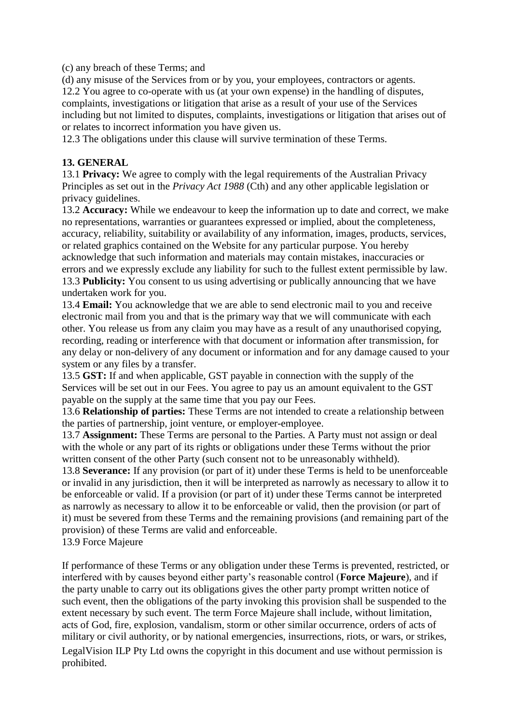(c) any breach of these Terms; and

(d) any misuse of the Services from or by you, your employees, contractors or agents. 12.2 You agree to co-operate with us (at your own expense) in the handling of disputes, complaints, investigations or litigation that arise as a result of your use of the Services including but not limited to disputes, complaints, investigations or litigation that arises out of or relates to incorrect information you have given us.

12.3 The obligations under this clause will survive termination of these Terms.

#### **13. GENERAL**

13.1 **Privacy:** We agree to comply with the legal requirements of the Australian Privacy Principles as set out in the *Privacy Act 1988* (Cth) and any other applicable legislation or privacy guidelines.

13.2 **Accuracy:** While we endeavour to keep the information up to date and correct, we make no representations, warranties or guarantees expressed or implied, about the completeness, accuracy, reliability, suitability or availability of any information, images, products, services, or related graphics contained on the Website for any particular purpose. You hereby acknowledge that such information and materials may contain mistakes, inaccuracies or errors and we expressly exclude any liability for such to the fullest extent permissible by law. 13.3 **Publicity:** You consent to us using advertising or publically announcing that we have undertaken work for you.

13.4 **Email:** You acknowledge that we are able to send electronic mail to you and receive electronic mail from you and that is the primary way that we will communicate with each other. You release us from any claim you may have as a result of any unauthorised copying, recording, reading or interference with that document or information after transmission, for any delay or non-delivery of any document or information and for any damage caused to your system or any files by a transfer.

13.5 **GST:** If and when applicable, GST payable in connection with the supply of the Services will be set out in our Fees. You agree to pay us an amount equivalent to the GST payable on the supply at the same time that you pay our Fees.

13.6 **Relationship of parties:** These Terms are not intended to create a relationship between the parties of partnership, joint venture, or employer-employee.

13.7 **Assignment:** These Terms are personal to the Parties. A Party must not assign or deal with the whole or any part of its rights or obligations under these Terms without the prior written consent of the other Party (such consent not to be unreasonably withheld).

13.8 **Severance:** If any provision (or part of it) under these Terms is held to be unenforceable or invalid in any jurisdiction, then it will be interpreted as narrowly as necessary to allow it to be enforceable or valid. If a provision (or part of it) under these Terms cannot be interpreted as narrowly as necessary to allow it to be enforceable or valid, then the provision (or part of it) must be severed from these Terms and the remaining provisions (and remaining part of the provision) of these Terms are valid and enforceable.

13.9 Force Majeure

If performance of these Terms or any obligation under these Terms is prevented, restricted, or interfered with by causes beyond either party's reasonable control (**Force Majeure**), and if the party unable to carry out its obligations gives the other party prompt written notice of such event, then the obligations of the party invoking this provision shall be suspended to the extent necessary by such event. The term Force Majeure shall include, without limitation, acts of God, fire, explosion, vandalism, storm or other similar occurrence, orders of acts of military or civil authority, or by national emergencies, insurrections, riots, or wars, or strikes,